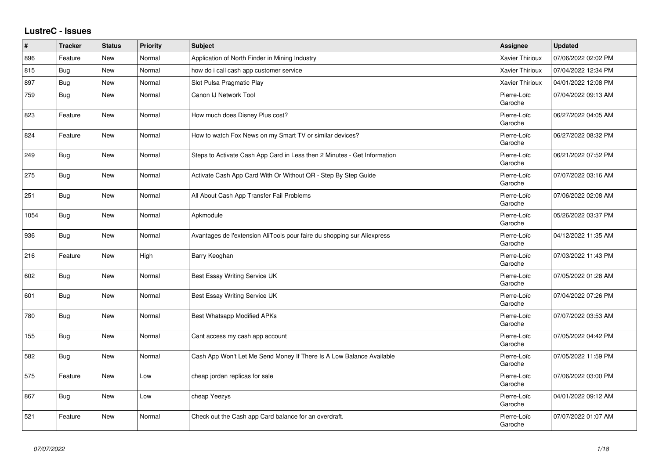## **LustreC - Issues**

| #    | <b>Tracker</b> | <b>Status</b> | <b>Priority</b> | <b>Subject</b>                                                           | <b>Assignee</b>        | <b>Updated</b>      |
|------|----------------|---------------|-----------------|--------------------------------------------------------------------------|------------------------|---------------------|
| 896  | Feature        | <b>New</b>    | Normal          | Application of North Finder in Mining Industry                           | Xavier Thirioux        | 07/06/2022 02:02 PM |
| 815  | <b>Bug</b>     | New           | Normal          | how do i call cash app customer service                                  | <b>Xavier Thirioux</b> | 07/04/2022 12:34 PM |
| 897  | <b>Bug</b>     | New           | Normal          | Slot Pulsa Pragmatic Play                                                | Xavier Thirioux        | 04/01/2022 12:08 PM |
| 759  | <b>Bug</b>     | New           | Normal          | Canon IJ Network Tool                                                    | Pierre-Loïc<br>Garoche | 07/04/2022 09:13 AM |
| 823  | Feature        | New           | Normal          | How much does Disney Plus cost?                                          | Pierre-Loïc<br>Garoche | 06/27/2022 04:05 AM |
| 824  | Feature        | <b>New</b>    | Normal          | How to watch Fox News on my Smart TV or similar devices?                 | Pierre-Loïc<br>Garoche | 06/27/2022 08:32 PM |
| 249  | Bug            | New           | Normal          | Steps to Activate Cash App Card in Less then 2 Minutes - Get Information | Pierre-Loïc<br>Garoche | 06/21/2022 07:52 PM |
| 275  | Bug            | <b>New</b>    | Normal          | Activate Cash App Card With Or Without QR - Step By Step Guide           | Pierre-Loïc<br>Garoche | 07/07/2022 03:16 AM |
| 251  | Bug            | New           | Normal          | All About Cash App Transfer Fail Problems                                | Pierre-Loïc<br>Garoche | 07/06/2022 02:08 AM |
| 1054 | Bug            | New           | Normal          | Apkmodule                                                                | Pierre-Loïc<br>Garoche | 05/26/2022 03:37 PM |
| 936  | Bug            | <b>New</b>    | Normal          | Avantages de l'extension AliTools pour faire du shopping sur Aliexpress  | Pierre-Loïc<br>Garoche | 04/12/2022 11:35 AM |
| 216  | Feature        | New           | High            | Barry Keoghan                                                            | Pierre-Loïc<br>Garoche | 07/03/2022 11:43 PM |
| 602  | Bug            | New           | Normal          | Best Essay Writing Service UK                                            | Pierre-Loïc<br>Garoche | 07/05/2022 01:28 AM |
| 601  | <b>Bug</b>     | New           | Normal          | Best Essay Writing Service UK                                            | Pierre-Loïc<br>Garoche | 07/04/2022 07:26 PM |
| 780  | <b>Bug</b>     | New           | Normal          | <b>Best Whatsapp Modified APKs</b>                                       | Pierre-Loïc<br>Garoche | 07/07/2022 03:53 AM |
| 155  | <b>Bug</b>     | <b>New</b>    | Normal          | Cant access my cash app account                                          | Pierre-Loïc<br>Garoche | 07/05/2022 04:42 PM |
| 582  | <b>Bug</b>     | <b>New</b>    | Normal          | Cash App Won't Let Me Send Money If There Is A Low Balance Available     | Pierre-Loïc<br>Garoche | 07/05/2022 11:59 PM |
| 575  | Feature        | New           | Low             | cheap jordan replicas for sale                                           | Pierre-Loïc<br>Garoche | 07/06/2022 03:00 PM |
| 867  | Bug            | <b>New</b>    | Low             | cheap Yeezys                                                             | Pierre-Loïc<br>Garoche | 04/01/2022 09:12 AM |
| 521  | Feature        | <b>New</b>    | Normal          | Check out the Cash app Card balance for an overdraft.                    | Pierre-Loïc<br>Garoche | 07/07/2022 01:07 AM |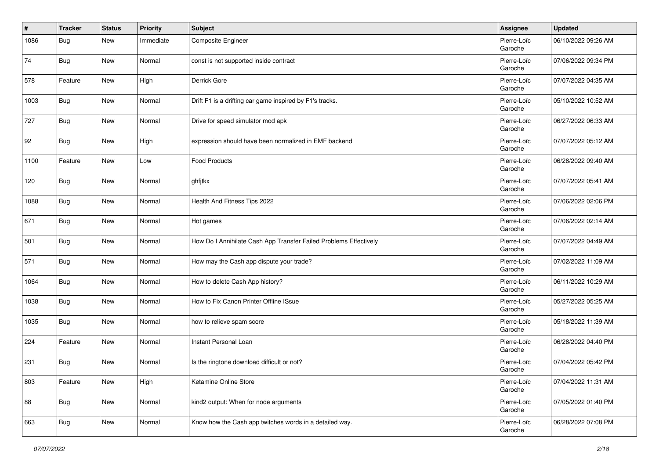| #    | Tracker    | <b>Status</b> | <b>Priority</b> | <b>Subject</b>                                                    | <b>Assignee</b>        | <b>Updated</b>      |
|------|------------|---------------|-----------------|-------------------------------------------------------------------|------------------------|---------------------|
| 1086 | Bug        | New           | Immediate       | Composite Engineer                                                | Pierre-Loïc<br>Garoche | 06/10/2022 09:26 AM |
| 74   | <b>Bug</b> | New           | Normal          | const is not supported inside contract                            | Pierre-Loïc<br>Garoche | 07/06/2022 09:34 PM |
| 578  | Feature    | New           | High            | Derrick Gore                                                      | Pierre-Loïc<br>Garoche | 07/07/2022 04:35 AM |
| 1003 | Bug        | <b>New</b>    | Normal          | Drift F1 is a drifting car game inspired by F1's tracks.          | Pierre-Loïc<br>Garoche | 05/10/2022 10:52 AM |
| 727  | Bug        | New           | Normal          | Drive for speed simulator mod apk                                 | Pierre-Loïc<br>Garoche | 06/27/2022 06:33 AM |
| 92   | Bug        | New           | High            | expression should have been normalized in EMF backend             | Pierre-Loïc<br>Garoche | 07/07/2022 05:12 AM |
| 1100 | Feature    | New           | Low             | <b>Food Products</b>                                              | Pierre-Loïc<br>Garoche | 06/28/2022 09:40 AM |
| 120  | Bug        | New           | Normal          | ghfjtkx                                                           | Pierre-Loïc<br>Garoche | 07/07/2022 05:41 AM |
| 1088 | Bug        | New           | Normal          | Health And Fitness Tips 2022                                      | Pierre-Loïc<br>Garoche | 07/06/2022 02:06 PM |
| 671  | Bug        | New           | Normal          | Hot games                                                         | Pierre-Loïc<br>Garoche | 07/06/2022 02:14 AM |
| 501  | Bug        | New           | Normal          | How Do I Annihilate Cash App Transfer Failed Problems Effectively | Pierre-Loïc<br>Garoche | 07/07/2022 04:49 AM |
| 571  | Bug        | <b>New</b>    | Normal          | How may the Cash app dispute your trade?                          | Pierre-Loïc<br>Garoche | 07/02/2022 11:09 AM |
| 1064 | Bug        | New           | Normal          | How to delete Cash App history?                                   | Pierre-Loïc<br>Garoche | 06/11/2022 10:29 AM |
| 1038 | Bug        | <b>New</b>    | Normal          | How to Fix Canon Printer Offline ISsue                            | Pierre-Loïc<br>Garoche | 05/27/2022 05:25 AM |
| 1035 | Bug        | New           | Normal          | how to relieve spam score                                         | Pierre-Loïc<br>Garoche | 05/18/2022 11:39 AM |
| 224  | Feature    | New           | Normal          | Instant Personal Loan                                             | Pierre-Loïc<br>Garoche | 06/28/2022 04:40 PM |
| 231  | Bug        | New           | Normal          | Is the ringtone download difficult or not?                        | Pierre-Loïc<br>Garoche | 07/04/2022 05:42 PM |
| 803  | Feature    | New           | High            | Ketamine Online Store                                             | Pierre-Loïc<br>Garoche | 07/04/2022 11:31 AM |
| 88   | <b>Bug</b> | New           | Normal          | kind2 output: When for node arguments                             | Pierre-Loïc<br>Garoche | 07/05/2022 01:40 PM |
| 663  | <b>Bug</b> | New           | Normal          | Know how the Cash app twitches words in a detailed way.           | Pierre-Loïc<br>Garoche | 06/28/2022 07:08 PM |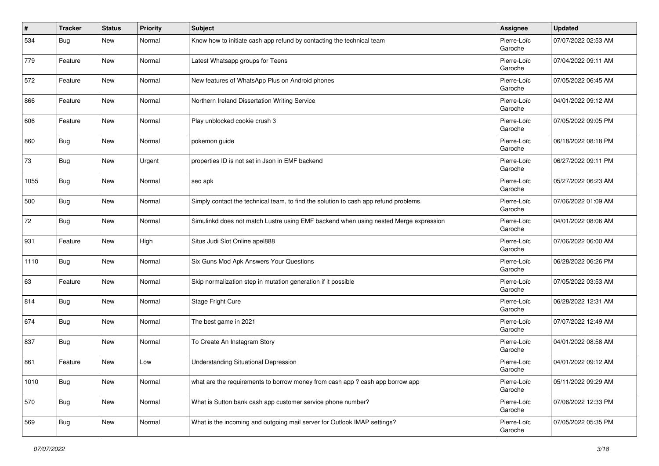| $\vert$ # | Tracker    | <b>Status</b> | <b>Priority</b> | Subject                                                                              | Assignee               | <b>Updated</b>      |
|-----------|------------|---------------|-----------------|--------------------------------------------------------------------------------------|------------------------|---------------------|
| 534       | <b>Bug</b> | New           | Normal          | Know how to initiate cash app refund by contacting the technical team                | Pierre-Loïc<br>Garoche | 07/07/2022 02:53 AM |
| 779       | Feature    | New           | Normal          | Latest Whatsapp groups for Teens                                                     | Pierre-Loïc<br>Garoche | 07/04/2022 09:11 AM |
| 572       | Feature    | <b>New</b>    | Normal          | New features of WhatsApp Plus on Android phones                                      | Pierre-Loïc<br>Garoche | 07/05/2022 06:45 AM |
| 866       | Feature    | New           | Normal          | Northern Ireland Dissertation Writing Service                                        | Pierre-Loïc<br>Garoche | 04/01/2022 09:12 AM |
| 606       | Feature    | <b>New</b>    | Normal          | Play unblocked cookie crush 3                                                        | Pierre-Loïc<br>Garoche | 07/05/2022 09:05 PM |
| 860       | <b>Bug</b> | <b>New</b>    | Normal          | pokemon guide                                                                        | Pierre-Loïc<br>Garoche | 06/18/2022 08:18 PM |
| 73        | Bug        | New           | Urgent          | properties ID is not set in Json in EMF backend                                      | Pierre-Loïc<br>Garoche | 06/27/2022 09:11 PM |
| 1055      | Bug        | New           | Normal          | seo apk                                                                              | Pierre-Loïc<br>Garoche | 05/27/2022 06:23 AM |
| 500       | Bug        | <b>New</b>    | Normal          | Simply contact the technical team, to find the solution to cash app refund problems. | Pierre-Loïc<br>Garoche | 07/06/2022 01:09 AM |
| 72        | <b>Bug</b> | <b>New</b>    | Normal          | Simulinkd does not match Lustre using EMF backend when using nested Merge expression | Pierre-Loïc<br>Garoche | 04/01/2022 08:06 AM |
| 931       | Feature    | New           | High            | Situs Judi Slot Online apel888                                                       | Pierre-Loïc<br>Garoche | 07/06/2022 06:00 AM |
| 1110      | Bug        | New           | Normal          | Six Guns Mod Apk Answers Your Questions                                              | Pierre-Loïc<br>Garoche | 06/28/2022 06:26 PM |
| 63        | Feature    | <b>New</b>    | Normal          | Skip normalization step in mutation generation if it possible                        | Pierre-Loïc<br>Garoche | 07/05/2022 03:53 AM |
| 814       | Bug        | <b>New</b>    | Normal          | Stage Fright Cure                                                                    | Pierre-Loïc<br>Garoche | 06/28/2022 12:31 AM |
| 674       | Bug        | New           | Normal          | The best game in 2021                                                                | Pierre-Loïc<br>Garoche | 07/07/2022 12:49 AM |
| 837       | <b>Bug</b> | <b>New</b>    | Normal          | To Create An Instagram Story                                                         | Pierre-Loïc<br>Garoche | 04/01/2022 08:58 AM |
| 861       | Feature    | <b>New</b>    | Low             | <b>Understanding Situational Depression</b>                                          | Pierre-Loïc<br>Garoche | 04/01/2022 09:12 AM |
| 1010      | <b>Bug</b> | New           | Normal          | what are the requirements to borrow money from cash app? cash app borrow app         | Pierre-Loïc<br>Garoche | 05/11/2022 09:29 AM |
| 570       | <b>Bug</b> | New           | Normal          | What is Sutton bank cash app customer service phone number?                          | Pierre-Loïc<br>Garoche | 07/06/2022 12:33 PM |
| 569       | <b>Bug</b> | New           | Normal          | What is the incoming and outgoing mail server for Outlook IMAP settings?             | Pierre-Loïc<br>Garoche | 07/05/2022 05:35 PM |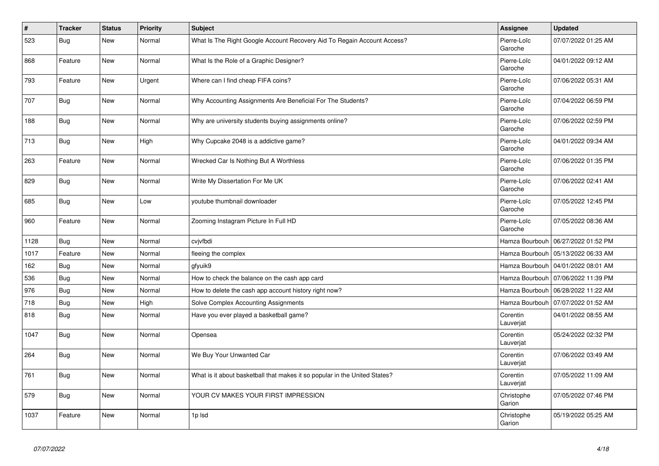| $\pmb{\#}$ | <b>Tracker</b> | <b>Status</b> | Priority | <b>Subject</b>                                                             | Assignee               | <b>Updated</b>                       |
|------------|----------------|---------------|----------|----------------------------------------------------------------------------|------------------------|--------------------------------------|
| 523        | Bug            | <b>New</b>    | Normal   | What Is The Right Google Account Recovery Aid To Regain Account Access?    | Pierre-Loïc<br>Garoche | 07/07/2022 01:25 AM                  |
| 868        | Feature        | <b>New</b>    | Normal   | What Is the Role of a Graphic Designer?                                    | Pierre-Loïc<br>Garoche | 04/01/2022 09:12 AM                  |
| 793        | Feature        | <b>New</b>    | Urgent   | Where can I find cheap FIFA coins?                                         | Pierre-Loïc<br>Garoche | 07/06/2022 05:31 AM                  |
| 707        | Bug            | <b>New</b>    | Normal   | Why Accounting Assignments Are Beneficial For The Students?                | Pierre-Loïc<br>Garoche | 07/04/2022 06:59 PM                  |
| 188        | <b>Bug</b>     | <b>New</b>    | Normal   | Why are university students buying assignments online?                     | Pierre-Loïc<br>Garoche | 07/06/2022 02:59 PM                  |
| 713        | <b>Bug</b>     | <b>New</b>    | High     | Why Cupcake 2048 is a addictive game?                                      | Pierre-Loïc<br>Garoche | 04/01/2022 09:34 AM                  |
| 263        | Feature        | New           | Normal   | Wrecked Car Is Nothing But A Worthless                                     | Pierre-Loïc<br>Garoche | 07/06/2022 01:35 PM                  |
| 829        | Bug            | New           | Normal   | Write My Dissertation For Me UK                                            | Pierre-Loïc<br>Garoche | 07/06/2022 02:41 AM                  |
| 685        | Bug            | <b>New</b>    | Low      | youtube thumbnail downloader                                               | Pierre-Loïc<br>Garoche | 07/05/2022 12:45 PM                  |
| 960        | Feature        | New           | Normal   | Zooming Instagram Picture In Full HD                                       | Pierre-Loïc<br>Garoche | 07/05/2022 08:36 AM                  |
| 1128       | Bug            | New           | Normal   | cvjvfbdi                                                                   |                        | Hamza Bourbouh   06/27/2022 01:52 PM |
| 1017       | Feature        | New           | Normal   | fleeing the complex                                                        | Hamza Bourbouh         | 05/13/2022 06:33 AM                  |
| 162        | Bug            | New           | Normal   | gfyuik9                                                                    |                        | Hamza Bourbouh   04/01/2022 08:01 AM |
| 536        | Bug            | New           | Normal   | How to check the balance on the cash app card                              | Hamza Bourbouh         | 07/06/2022 11:39 PM                  |
| 976        | Bug            | <b>New</b>    | Normal   | How to delete the cash app account history right now?                      |                        | Hamza Bourbouh   06/28/2022 11:22 AM |
| 718        | <b>Bug</b>     | <b>New</b>    | High     | Solve Complex Accounting Assignments                                       | Hamza Bourbouh         | 07/07/2022 01:52 AM                  |
| 818        | <b>Bug</b>     | New           | Normal   | Have you ever played a basketball game?                                    | Corentin<br>Lauverjat  | 04/01/2022 08:55 AM                  |
| 1047       | Bug            | <b>New</b>    | Normal   | Opensea                                                                    | Corentin<br>Lauverjat  | 05/24/2022 02:32 PM                  |
| 264        | Bug            | New           | Normal   | We Buy Your Unwanted Car                                                   | Corentin<br>Lauverjat  | 07/06/2022 03:49 AM                  |
| 761        | Bug            | <b>New</b>    | Normal   | What is it about basketball that makes it so popular in the United States? | Corentin<br>Lauverjat  | 07/05/2022 11:09 AM                  |
| 579        | <b>Bug</b>     | <b>New</b>    | Normal   | YOUR CV MAKES YOUR FIRST IMPRESSION                                        | Christophe<br>Garion   | 07/05/2022 07:46 PM                  |
| 1037       | Feature        | <b>New</b>    | Normal   | 1p lsd                                                                     | Christophe<br>Garion   | 05/19/2022 05:25 AM                  |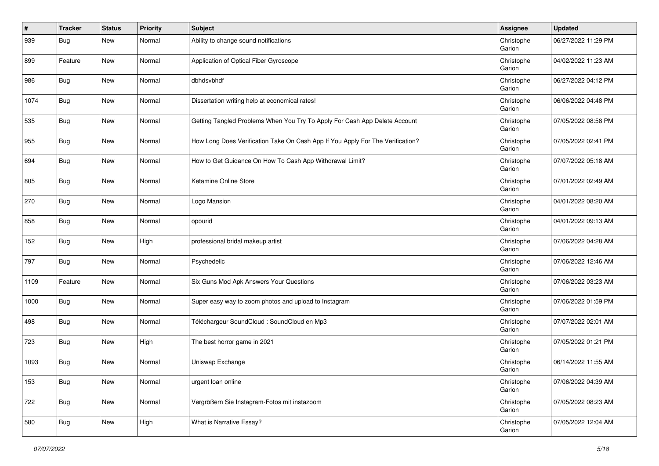| #    | <b>Tracker</b> | <b>Status</b> | <b>Priority</b> | <b>Subject</b>                                                                 | Assignee             | <b>Updated</b>      |
|------|----------------|---------------|-----------------|--------------------------------------------------------------------------------|----------------------|---------------------|
| 939  | <b>Bug</b>     | New           | Normal          | Ability to change sound notifications                                          | Christophe<br>Garion | 06/27/2022 11:29 PM |
| 899  | Feature        | <b>New</b>    | Normal          | Application of Optical Fiber Gyroscope                                         | Christophe<br>Garion | 04/02/2022 11:23 AM |
| 986  | <b>Bug</b>     | New           | Normal          | dbhdsvbhdf                                                                     | Christophe<br>Garion | 06/27/2022 04:12 PM |
| 1074 | Bug            | New           | Normal          | Dissertation writing help at economical rates!                                 | Christophe<br>Garion | 06/06/2022 04:48 PM |
| 535  | Bug            | New           | Normal          | Getting Tangled Problems When You Try To Apply For Cash App Delete Account     | Christophe<br>Garion | 07/05/2022 08:58 PM |
| 955  | Bug            | New           | Normal          | How Long Does Verification Take On Cash App If You Apply For The Verification? | Christophe<br>Garion | 07/05/2022 02:41 PM |
| 694  | <b>Bug</b>     | <b>New</b>    | Normal          | How to Get Guidance On How To Cash App Withdrawal Limit?                       | Christophe<br>Garion | 07/07/2022 05:18 AM |
| 805  | Bug            | New           | Normal          | Ketamine Online Store                                                          | Christophe<br>Garion | 07/01/2022 02:49 AM |
| 270  | Bug            | <b>New</b>    | Normal          | Logo Mansion                                                                   | Christophe<br>Garion | 04/01/2022 08:20 AM |
| 858  | <b>Bug</b>     | <b>New</b>    | Normal          | opourid                                                                        | Christophe<br>Garion | 04/01/2022 09:13 AM |
| 152  | <b>Bug</b>     | <b>New</b>    | High            | professional bridal makeup artist                                              | Christophe<br>Garion | 07/06/2022 04:28 AM |
| 797  | Bug            | <b>New</b>    | Normal          | Psychedelic                                                                    | Christophe<br>Garion | 07/06/2022 12:46 AM |
| 1109 | Feature        | New           | Normal          | Six Guns Mod Apk Answers Your Questions                                        | Christophe<br>Garion | 07/06/2022 03:23 AM |
| 1000 | <b>Bug</b>     | <b>New</b>    | Normal          | Super easy way to zoom photos and upload to Instagram                          | Christophe<br>Garion | 07/06/2022 01:59 PM |
| 498  | Bug            | New           | Normal          | Téléchargeur SoundCloud : SoundCloud en Mp3                                    | Christophe<br>Garion | 07/07/2022 02:01 AM |
| 723  | <b>Bug</b>     | New           | High            | The best horror game in 2021                                                   | Christophe<br>Garion | 07/05/2022 01:21 PM |
| 1093 | <b>Bug</b>     | <b>New</b>    | Normal          | Uniswap Exchange                                                               | Christophe<br>Garion | 06/14/2022 11:55 AM |
| 153  | <b>Bug</b>     | New           | Normal          | urgent loan online                                                             | Christophe<br>Garion | 07/06/2022 04:39 AM |
| 722  | Bug            | New           | Normal          | Vergrößern Sie Instagram-Fotos mit instazoom                                   | Christophe<br>Garion | 07/05/2022 08:23 AM |
| 580  | <b>Bug</b>     | New           | High            | What is Narrative Essay?                                                       | Christophe<br>Garion | 07/05/2022 12:04 AM |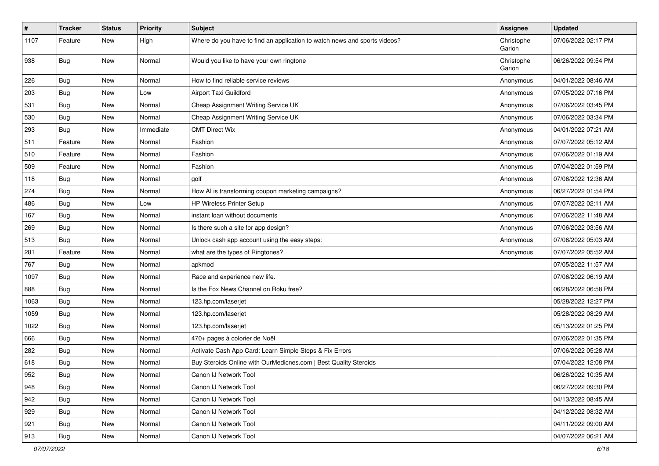| $\pmb{\#}$    | <b>Tracker</b> | <b>Status</b> | <b>Priority</b> | <b>Subject</b>                                                            | <b>Assignee</b>      | <b>Updated</b>      |
|---------------|----------------|---------------|-----------------|---------------------------------------------------------------------------|----------------------|---------------------|
| 1107          | Feature        | New           | High            | Where do you have to find an application to watch news and sports videos? | Christophe<br>Garion | 07/06/2022 02:17 PM |
| 938           | Bug            | New           | Normal          | Would you like to have your own ringtone                                  | Christophe<br>Garion | 06/26/2022 09:54 PM |
| 226           | Bug            | New           | Normal          | How to find reliable service reviews                                      | Anonymous            | 04/01/2022 08:46 AM |
| 203           | Bug            | New           | Low             | Airport Taxi Guildford                                                    | Anonymous            | 07/05/2022 07:16 PM |
| 531           | <b>Bug</b>     | New           | Normal          | Cheap Assignment Writing Service UK                                       | Anonymous            | 07/06/2022 03:45 PM |
| 530           | <b>Bug</b>     | New           | Normal          | Cheap Assignment Writing Service UK                                       | Anonymous            | 07/06/2022 03:34 PM |
| 293           | <b>Bug</b>     | New           | Immediate       | <b>CMT Direct Wix</b>                                                     | Anonymous            | 04/01/2022 07:21 AM |
| 511           | Feature        | New           | Normal          | Fashion                                                                   | Anonymous            | 07/07/2022 05:12 AM |
| 510           | Feature        | New           | Normal          | Fashion                                                                   | Anonymous            | 07/06/2022 01:19 AM |
| 509           | Feature        | New           | Normal          | Fashion                                                                   | Anonymous            | 07/04/2022 01:59 PM |
| 118           | Bug            | New           | Normal          | golf                                                                      | Anonymous            | 07/06/2022 12:36 AM |
| 274           | <b>Bug</b>     | New           | Normal          | How AI is transforming coupon marketing campaigns?                        | Anonymous            | 06/27/2022 01:54 PM |
| 486           | <b>Bug</b>     | New           | Low             | HP Wireless Printer Setup                                                 | Anonymous            | 07/07/2022 02:11 AM |
| 167           | <b>Bug</b>     | New           | Normal          | instant loan without documents                                            | Anonymous            | 07/06/2022 11:48 AM |
| 269           | <b>Bug</b>     | New           | Normal          | Is there such a site for app design?                                      | Anonymous            | 07/06/2022 03:56 AM |
| 513           | Bug            | New           | Normal          | Unlock cash app account using the easy steps:                             | Anonymous            | 07/06/2022 05:03 AM |
| 281           | Feature        | New           | Normal          | what are the types of Ringtones?                                          | Anonymous            | 07/07/2022 05:52 AM |
| 767           | <b>Bug</b>     | New           | Normal          | apkmod                                                                    |                      | 07/05/2022 11:57 AM |
| 1097          | <b>Bug</b>     | New           | Normal          | Race and experience new life.                                             |                      | 07/06/2022 06:19 AM |
| 888           | <b>Bug</b>     | New           | Normal          | Is the Fox News Channel on Roku free?                                     |                      | 06/28/2022 06:58 PM |
| 1063          | Bug            | New           | Normal          | 123.hp.com/laserjet                                                       |                      | 05/28/2022 12:27 PM |
| 1059          | <b>Bug</b>     | New           | Normal          | 123.hp.com/laserjet                                                       |                      | 05/28/2022 08:29 AM |
| 1022          | <b>Bug</b>     | New           | Normal          | 123.hp.com/laserjet                                                       |                      | 05/13/2022 01:25 PM |
| 666           | <b>Bug</b>     | New           | Normal          | 470+ pages à colorier de Noël                                             |                      | 07/06/2022 01:35 PM |
| 282           | <b>Bug</b>     | New           | Normal          | Activate Cash App Card: Learn Simple Steps & Fix Errors                   |                      | 07/06/2022 05:28 AM |
| 618           | <b>Bug</b>     | New           | Normal          | Buy Steroids Online with OurMedicnes.com   Best Quality Steroids          |                      | 07/04/2022 12:08 PM |
| 952           | Bug            | New           | Normal          | Canon IJ Network Tool                                                     |                      | 06/26/2022 10:35 AM |
| 948           | <b>Bug</b>     | New           | Normal          | Canon IJ Network Tool                                                     |                      | 06/27/2022 09:30 PM |
| 942           | Bug            | New           | Normal          | Canon IJ Network Tool                                                     |                      | 04/13/2022 08:45 AM |
| $ 929\rangle$ | <b>Bug</b>     | New           | Normal          | Canon IJ Network Tool                                                     |                      | 04/12/2022 08:32 AM |
| 921           | Bug            | New           | Normal          | Canon IJ Network Tool                                                     |                      | 04/11/2022 09:00 AM |
| 913           | <b>Bug</b>     | New           | Normal          | Canon IJ Network Tool                                                     |                      | 04/07/2022 06:21 AM |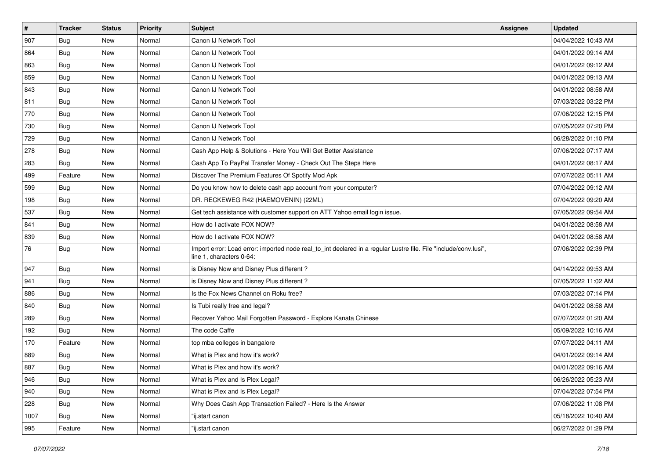| $\vert$ # | <b>Tracker</b> | <b>Status</b> | <b>Priority</b> | <b>Subject</b>                                                                                                                               | <b>Assignee</b> | <b>Updated</b>      |
|-----------|----------------|---------------|-----------------|----------------------------------------------------------------------------------------------------------------------------------------------|-----------------|---------------------|
| 907       | <b>Bug</b>     | New           | Normal          | Canon IJ Network Tool                                                                                                                        |                 | 04/04/2022 10:43 AM |
| 864       | Bug            | New           | Normal          | Canon IJ Network Tool                                                                                                                        |                 | 04/01/2022 09:14 AM |
| 863       | Bug            | New           | Normal          | Canon IJ Network Tool                                                                                                                        |                 | 04/01/2022 09:12 AM |
| 859       | <b>Bug</b>     | New           | Normal          | Canon IJ Network Tool                                                                                                                        |                 | 04/01/2022 09:13 AM |
| 843       | Bug            | New           | Normal          | Canon IJ Network Tool                                                                                                                        |                 | 04/01/2022 08:58 AM |
| 811       | <b>Bug</b>     | New           | Normal          | Canon IJ Network Tool                                                                                                                        |                 | 07/03/2022 03:22 PM |
| 770       | <b>Bug</b>     | New           | Normal          | Canon IJ Network Tool                                                                                                                        |                 | 07/06/2022 12:15 PM |
| 730       | Bug            | New           | Normal          | Canon IJ Network Tool                                                                                                                        |                 | 07/05/2022 07:20 PM |
| 729       | Bug            | New           | Normal          | Canon IJ Network Tool                                                                                                                        |                 | 06/28/2022 01:10 PM |
| 278       | Bug            | New           | Normal          | Cash App Help & Solutions - Here You Will Get Better Assistance                                                                              |                 | 07/06/2022 07:17 AM |
| 283       | Bug            | New           | Normal          | Cash App To PayPal Transfer Money - Check Out The Steps Here                                                                                 |                 | 04/01/2022 08:17 AM |
| 499       | Feature        | <b>New</b>    | Normal          | Discover The Premium Features Of Spotify Mod Apk                                                                                             |                 | 07/07/2022 05:11 AM |
| 599       | Bug            | <b>New</b>    | Normal          | Do you know how to delete cash app account from your computer?                                                                               |                 | 07/04/2022 09:12 AM |
| 198       | Bug            | New           | Normal          | DR. RECKEWEG R42 (HAEMOVENIN) (22ML)                                                                                                         |                 | 07/04/2022 09:20 AM |
| 537       | <b>Bug</b>     | New           | Normal          | Get tech assistance with customer support on ATT Yahoo email login issue.                                                                    |                 | 07/05/2022 09:54 AM |
| 841       | Bug            | New           | Normal          | How do I activate FOX NOW?                                                                                                                   |                 | 04/01/2022 08:58 AM |
| 839       | <b>Bug</b>     | New           | Normal          | How do I activate FOX NOW?                                                                                                                   |                 | 04/01/2022 08:58 AM |
| 76        | <b>Bug</b>     | New           | Normal          | Import error: Load error: imported node real_to_int declared in a regular Lustre file. File "include/conv.lusi",<br>line 1, characters 0-64: |                 | 07/06/2022 02:39 PM |
| 947       | Bug            | New           | Normal          | is Disney Now and Disney Plus different?                                                                                                     |                 | 04/14/2022 09:53 AM |
| 941       | Bug            | <b>New</b>    | Normal          | is Disney Now and Disney Plus different?                                                                                                     |                 | 07/05/2022 11:02 AM |
| 886       | Bug            | New           | Normal          | Is the Fox News Channel on Roku free?                                                                                                        |                 | 07/03/2022 07:14 PM |
| 840       | <b>Bug</b>     | New           | Normal          | Is Tubi really free and legal?                                                                                                               |                 | 04/01/2022 08:58 AM |
| 289       | <b>Bug</b>     | New           | Normal          | Recover Yahoo Mail Forgotten Password - Explore Kanata Chinese                                                                               |                 | 07/07/2022 01:20 AM |
| 192       | <b>Bug</b>     | New           | Normal          | The code Caffe                                                                                                                               |                 | 05/09/2022 10:16 AM |
| 170       | Feature        | <b>New</b>    | Normal          | top mba colleges in bangalore                                                                                                                |                 | 07/07/2022 04:11 AM |
| 889       | Bug            | New           | Normal          | What is Plex and how it's work?                                                                                                              |                 | 04/01/2022 09:14 AM |
| 887       | <b>Bug</b>     | New           | Normal          | What is Plex and how it's work?                                                                                                              |                 | 04/01/2022 09:16 AM |
| 946       | <b>Bug</b>     | New           | Normal          | What is Plex and Is Plex Legal?                                                                                                              |                 | 06/26/2022 05:23 AM |
| 940       | Bug            | New           | Normal          | What is Plex and Is Plex Legal?                                                                                                              |                 | 07/04/2022 07:54 PM |
| 228       | Bug            | New           | Normal          | Why Does Cash App Transaction Failed? - Here Is the Answer                                                                                   |                 | 07/06/2022 11:08 PM |
| 1007      | Bug            | New           | Normal          | "ij.start canon                                                                                                                              |                 | 05/18/2022 10:40 AM |
| 995       | Feature        | New           | Normal          | "ij.start canon                                                                                                                              |                 | 06/27/2022 01:29 PM |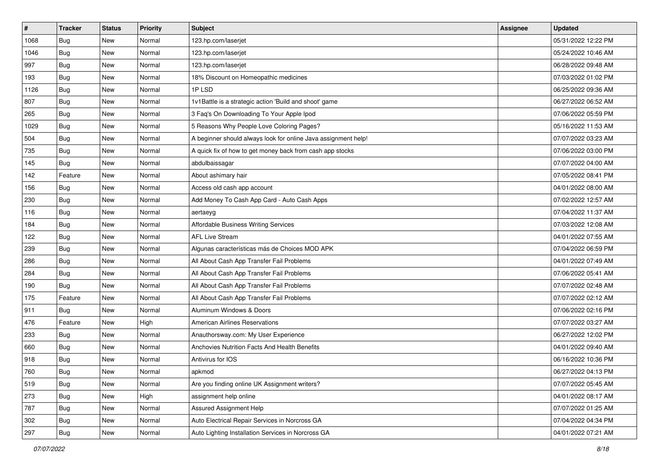| #    | <b>Tracker</b> | <b>Status</b> | <b>Priority</b> | Subject                                                        | Assignee | <b>Updated</b>      |
|------|----------------|---------------|-----------------|----------------------------------------------------------------|----------|---------------------|
| 1068 | <b>Bug</b>     | New           | Normal          | 123.hp.com/laserjet                                            |          | 05/31/2022 12:22 PM |
| 1046 | Bug            | <b>New</b>    | Normal          | 123.hp.com/laserjet                                            |          | 05/24/2022 10:46 AM |
| 997  | Bug            | New           | Normal          | 123.hp.com/laserjet                                            |          | 06/28/2022 09:48 AM |
| 193  | <b>Bug</b>     | <b>New</b>    | Normal          | 18% Discount on Homeopathic medicines                          |          | 07/03/2022 01:02 PM |
| 1126 | <b>Bug</b>     | <b>New</b>    | Normal          | 1PLSD                                                          |          | 06/25/2022 09:36 AM |
| 807  | <b>Bug</b>     | New           | Normal          | 1v1Battle is a strategic action 'Build and shoot' game         |          | 06/27/2022 06:52 AM |
| 265  | Bug            | <b>New</b>    | Normal          | 3 Faq's On Downloading To Your Apple Ipod                      |          | 07/06/2022 05:59 PM |
| 1029 | Bug            | New           | Normal          | 5 Reasons Why People Love Coloring Pages?                      |          | 05/16/2022 11:53 AM |
| 504  | <b>Bug</b>     | New           | Normal          | A beginner should always look for online Java assignment help! |          | 07/07/2022 03:23 AM |
| 735  | Bug            | <b>New</b>    | Normal          | A quick fix of how to get money back from cash app stocks      |          | 07/06/2022 03:00 PM |
| 145  | Bug            | New           | Normal          | abdulbaissagar                                                 |          | 07/07/2022 04:00 AM |
| 142  | Feature        | New           | Normal          | About ashimary hair                                            |          | 07/05/2022 08:41 PM |
| 156  | Bug            | <b>New</b>    | Normal          | Access old cash app account                                    |          | 04/01/2022 08:00 AM |
| 230  | Bug            | <b>New</b>    | Normal          | Add Money To Cash App Card - Auto Cash Apps                    |          | 07/02/2022 12:57 AM |
| 116  | <b>Bug</b>     | <b>New</b>    | Normal          | aertaeyg                                                       |          | 07/04/2022 11:37 AM |
| 184  | Bug            | New           | Normal          | Affordable Business Writing Services                           |          | 07/03/2022 12:08 AM |
| 122  | <b>Bug</b>     | <b>New</b>    | Normal          | <b>AFL Live Stream</b>                                         |          | 04/01/2022 07:55 AM |
| 239  | Bug            | <b>New</b>    | Normal          | Algunas características más de Choices MOD APK                 |          | 07/04/2022 06:59 PM |
| 286  | <b>Bug</b>     | <b>New</b>    | Normal          | All About Cash App Transfer Fail Problems                      |          | 04/01/2022 07:49 AM |
| 284  | Bug            | <b>New</b>    | Normal          | All About Cash App Transfer Fail Problems                      |          | 07/06/2022 05:41 AM |
| 190  | Bug            | New           | Normal          | All About Cash App Transfer Fail Problems                      |          | 07/07/2022 02:48 AM |
| 175  | Feature        | <b>New</b>    | Normal          | All About Cash App Transfer Fail Problems                      |          | 07/07/2022 02:12 AM |
| 911  | <b>Bug</b>     | <b>New</b>    | Normal          | Aluminum Windows & Doors                                       |          | 07/06/2022 02:16 PM |
| 476  | Feature        | New           | High            | <b>American Airlines Reservations</b>                          |          | 07/07/2022 03:27 AM |
| 233  | <b>Bug</b>     | New           | Normal          | Anauthorsway.com: My User Experience                           |          | 06/27/2022 12:02 PM |
| 660  | Bug            | <b>New</b>    | Normal          | Anchovies Nutrition Facts And Health Benefits                  |          | 04/01/2022 09:40 AM |
| 918  | <b>Bug</b>     | New           | Normal          | Antivirus for IOS                                              |          | 06/16/2022 10:36 PM |
| 760  | <b>Bug</b>     | New           | Normal          | apkmod                                                         |          | 06/27/2022 04:13 PM |
| 519  | Bug            | New           | Normal          | Are you finding online UK Assignment writers?                  |          | 07/07/2022 05:45 AM |
| 273  | Bug            | New           | High            | assignment help online                                         |          | 04/01/2022 08:17 AM |
| 787  | Bug            | New           | Normal          | Assured Assignment Help                                        |          | 07/07/2022 01:25 AM |
| 302  | <b>Bug</b>     | New           | Normal          | Auto Electrical Repair Services in Norcross GA                 |          | 07/04/2022 04:34 PM |
| 297  | <b>Bug</b>     | New           | Normal          | Auto Lighting Installation Services in Norcross GA             |          | 04/01/2022 07:21 AM |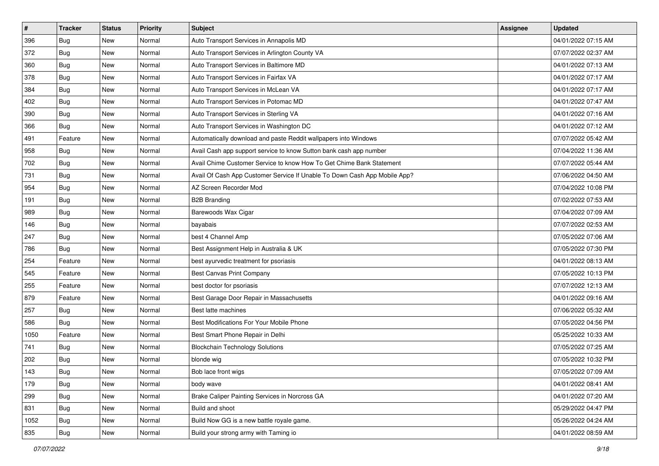| $\sharp$ | <b>Tracker</b> | <b>Status</b> | <b>Priority</b> | <b>Subject</b>                                                            | <b>Assignee</b> | <b>Updated</b>      |
|----------|----------------|---------------|-----------------|---------------------------------------------------------------------------|-----------------|---------------------|
| 396      | <b>Bug</b>     | New           | Normal          | Auto Transport Services in Annapolis MD                                   |                 | 04/01/2022 07:15 AM |
| 372      | Bug            | New           | Normal          | Auto Transport Services in Arlington County VA                            |                 | 07/07/2022 02:37 AM |
| 360      | Bug            | New           | Normal          | Auto Transport Services in Baltimore MD                                   |                 | 04/01/2022 07:13 AM |
| 378      | <b>Bug</b>     | New           | Normal          | Auto Transport Services in Fairfax VA                                     |                 | 04/01/2022 07:17 AM |
| 384      | Bug            | New           | Normal          | Auto Transport Services in McLean VA                                      |                 | 04/01/2022 07:17 AM |
| 402      | <b>Bug</b>     | New           | Normal          | Auto Transport Services in Potomac MD                                     |                 | 04/01/2022 07:47 AM |
| 390      | <b>Bug</b>     | New           | Normal          | Auto Transport Services in Sterling VA                                    |                 | 04/01/2022 07:16 AM |
| 366      | <b>Bug</b>     | New           | Normal          | Auto Transport Services in Washington DC                                  |                 | 04/01/2022 07:12 AM |
| 491      | Feature        | New           | Normal          | Automatically download and paste Reddit wallpapers into Windows           |                 | 07/07/2022 05:42 AM |
| 958      | Bug            | New           | Normal          | Avail Cash app support service to know Sutton bank cash app number        |                 | 07/04/2022 11:36 AM |
| 702      | <b>Bug</b>     | New           | Normal          | Avail Chime Customer Service to know How To Get Chime Bank Statement      |                 | 07/07/2022 05:44 AM |
| 731      | <b>Bug</b>     | New           | Normal          | Avail Of Cash App Customer Service If Unable To Down Cash App Mobile App? |                 | 07/06/2022 04:50 AM |
| 954      | Bug            | New           | Normal          | AZ Screen Recorder Mod                                                    |                 | 07/04/2022 10:08 PM |
| 191      | Bug            | New           | Normal          | <b>B2B Branding</b>                                                       |                 | 07/02/2022 07:53 AM |
| 989      | Bug            | New           | Normal          | Barewoods Wax Cigar                                                       |                 | 07/04/2022 07:09 AM |
| 146      | Bug            | New           | Normal          | bayabais                                                                  |                 | 07/07/2022 02:53 AM |
| 247      | <b>Bug</b>     | New           | Normal          | best 4 Channel Amp                                                        |                 | 07/05/2022 07:06 AM |
| 786      | Bug            | New           | Normal          | Best Assignment Help in Australia & UK                                    |                 | 07/05/2022 07:30 PM |
| 254      | Feature        | New           | Normal          | best ayurvedic treatment for psoriasis                                    |                 | 04/01/2022 08:13 AM |
| 545      | Feature        | New           | Normal          | <b>Best Canvas Print Company</b>                                          |                 | 07/05/2022 10:13 PM |
| 255      | Feature        | New           | Normal          | best doctor for psoriasis                                                 |                 | 07/07/2022 12:13 AM |
| 879      | Feature        | New           | Normal          | Best Garage Door Repair in Massachusetts                                  |                 | 04/01/2022 09:16 AM |
| 257      | Bug            | New           | Normal          | Best latte machines                                                       |                 | 07/06/2022 05:32 AM |
| 586      | <b>Bug</b>     | New           | Normal          | Best Modifications For Your Mobile Phone                                  |                 | 07/05/2022 04:56 PM |
| 1050     | Feature        | New           | Normal          | Best Smart Phone Repair in Delhi                                          |                 | 05/25/2022 10:33 AM |
| 741      | <b>Bug</b>     | New           | Normal          | <b>Blockchain Technology Solutions</b>                                    |                 | 07/05/2022 07:25 AM |
| 202      | Bug            | New           | Normal          | blonde wig                                                                |                 | 07/05/2022 10:32 PM |
| 143      | <b>Bug</b>     | New           | Normal          | Bob lace front wigs                                                       |                 | 07/05/2022 07:09 AM |
| 179      | Bug            | New           | Normal          | body wave                                                                 |                 | 04/01/2022 08:41 AM |
| 299      | <b>Bug</b>     | New           | Normal          | Brake Caliper Painting Services in Norcross GA                            |                 | 04/01/2022 07:20 AM |
| 831      | Bug            | New           | Normal          | Build and shoot                                                           |                 | 05/29/2022 04:47 PM |
| 1052     | <b>Bug</b>     | New           | Normal          | Build Now GG is a new battle royale game.                                 |                 | 05/26/2022 04:24 AM |
| 835      | Bug            | New           | Normal          | Build your strong army with Taming io                                     |                 | 04/01/2022 08:59 AM |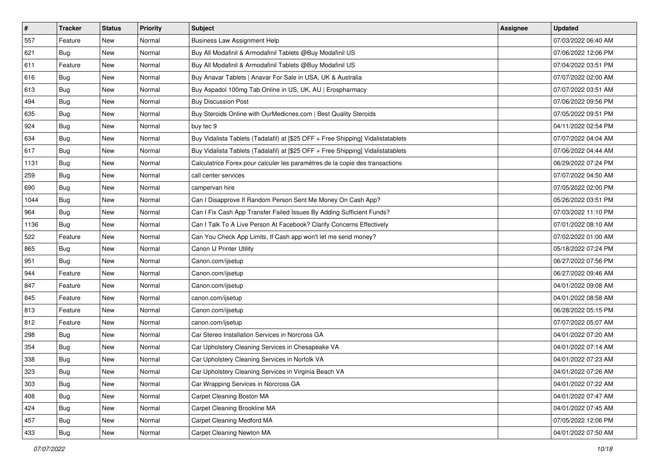| $\vert$ # | <b>Tracker</b> | <b>Status</b> | <b>Priority</b> | <b>Subject</b>                                                                   | <b>Assignee</b> | <b>Updated</b>      |
|-----------|----------------|---------------|-----------------|----------------------------------------------------------------------------------|-----------------|---------------------|
| 557       | Feature        | New           | Normal          | <b>Business Law Assignment Help</b>                                              |                 | 07/03/2022 06:40 AM |
| 621       | <b>Bug</b>     | <b>New</b>    | Normal          | Buy All Modafinil & Armodafinil Tablets @Buy Modafinil US                        |                 | 07/06/2022 12:06 PM |
| 611       | Feature        | New           | Normal          | Buy All Modafinil & Armodafinil Tablets @Buy Modafinil US                        |                 | 07/04/2022 03:51 PM |
| 616       | <b>Bug</b>     | New           | Normal          | Buy Anavar Tablets   Anavar For Sale in USA, UK & Australia                      |                 | 07/07/2022 02:00 AM |
| 613       | Bug            | New           | Normal          | Buy Aspadol 100mg Tab Online in US, UK, AU   Erospharmacy                        |                 | 07/07/2022 03:51 AM |
| 494       | Bug            | New           | Normal          | <b>Buy Discussion Post</b>                                                       |                 | 07/06/2022 09:56 PM |
| 635       | Bug            | New           | Normal          | Buy Steroids Online with OurMedicnes.com   Best Quality Steroids                 |                 | 07/05/2022 09:51 PM |
| 924       | Bug            | New           | Normal          | buy tec 9                                                                        |                 | 04/11/2022 02:54 PM |
| 634       | Bug            | New           | Normal          | Buy Vidalista Tablets (Tadalafil) at [\$25 OFF + Free Shipping] Vidalistatablets |                 | 07/07/2022 04:04 AM |
| 617       | Bug            | New           | Normal          | Buy Vidalista Tablets (Tadalafil) at [\$25 OFF + Free Shipping] Vidalistatablets |                 | 07/06/2022 04:44 AM |
| 1131      | <b>Bug</b>     | New           | Normal          | Calculatrice Forex pour calculer les paramètres de la copie des transactions     |                 | 06/29/2022 07:24 PM |
| 259       | Bug            | New           | Normal          | call center services                                                             |                 | 07/07/2022 04:50 AM |
| 690       | Bug            | New           | Normal          | campervan hire                                                                   |                 | 07/05/2022 02:00 PM |
| 1044      | <b>Bug</b>     | New           | Normal          | Can I Disapprove If Random Person Sent Me Money On Cash App?                     |                 | 05/26/2022 03:51 PM |
| 964       | <b>Bug</b>     | New           | Normal          | Can I Fix Cash App Transfer Failed Issues By Adding Sufficient Funds?            |                 | 07/03/2022 11:10 PM |
| 1136      | Bug            | New           | Normal          | Can I Talk To A Live Person At Facebook? Clarify Concerns Effectively            |                 | 07/01/2022 08:10 AM |
| 522       | Feature        | New           | Normal          | Can You Check App Limits, If Cash app won't let me send money?                   |                 | 07/02/2022 01:00 AM |
| 865       | Bug            | New           | Normal          | Canon IJ Printer Utility                                                         |                 | 05/18/2022 07:24 PM |
| 951       | Bug            | New           | Normal          | Canon.com/ijsetup                                                                |                 | 06/27/2022 07:56 PM |
| 944       | Feature        | New           | Normal          | Canon.com/ijsetup                                                                |                 | 06/27/2022 09:46 AM |
| 847       | Feature        | New           | Normal          | Canon.com/ijsetup                                                                |                 | 04/01/2022 09:08 AM |
| 845       | Feature        | New           | Normal          | canon.com/ijsetup                                                                |                 | 04/01/2022 08:58 AM |
| 813       | Feature        | New           | Normal          | Canon.com/ijsetup                                                                |                 | 06/28/2022 05:15 PM |
| 812       | Feature        | New           | Normal          | canon.com/ijsetup                                                                |                 | 07/07/2022 05:07 AM |
| 298       | Bug            | New           | Normal          | Car Stereo Installation Services in Norcross GA                                  |                 | 04/01/2022 07:20 AM |
| 354       | Bug            | New           | Normal          | Car Upholstery Cleaning Services in Chesapeake VA                                |                 | 04/01/2022 07:14 AM |
| 338       | <b>Bug</b>     | New           | Normal          | Car Upholstery Cleaning Services in Norfolk VA                                   |                 | 04/01/2022 07:23 AM |
| 323       | Bug            | New           | Normal          | Car Upholstery Cleaning Services in Virginia Beach VA                            |                 | 04/01/2022 07:26 AM |
| 303       | Bug            | New           | Normal          | Car Wrapping Services in Norcross GA                                             |                 | 04/01/2022 07:22 AM |
| 408       | <b>Bug</b>     | New           | Normal          | Carpet Cleaning Boston MA                                                        |                 | 04/01/2022 07:47 AM |
| 424       | Bug            | New           | Normal          | Carpet Cleaning Brookline MA                                                     |                 | 04/01/2022 07:45 AM |
| 457       | <b>Bug</b>     | New           | Normal          | Carpet Cleaning Medford MA                                                       |                 | 07/05/2022 12:06 PM |
| 433       | Bug            | New           | Normal          | Carpet Cleaning Newton MA                                                        |                 | 04/01/2022 07:50 AM |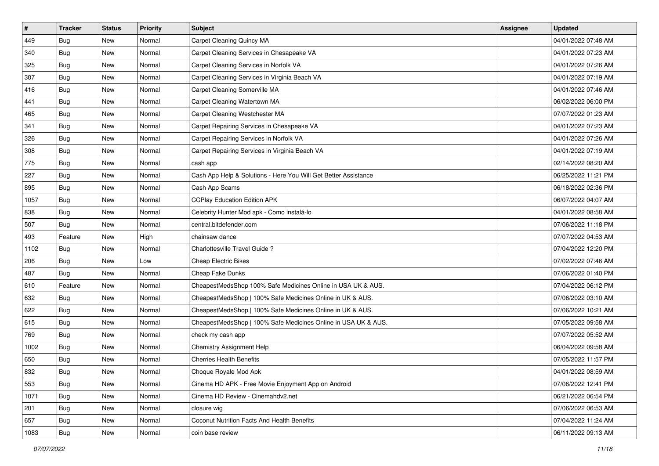| $\vert$ # | <b>Tracker</b> | <b>Status</b> | <b>Priority</b> | <b>Subject</b>                                                  | <b>Assignee</b> | <b>Updated</b>      |
|-----------|----------------|---------------|-----------------|-----------------------------------------------------------------|-----------------|---------------------|
| 449       | <b>Bug</b>     | New           | Normal          | Carpet Cleaning Quincy MA                                       |                 | 04/01/2022 07:48 AM |
| 340       | <b>Bug</b>     | New           | Normal          | Carpet Cleaning Services in Chesapeake VA                       |                 | 04/01/2022 07:23 AM |
| 325       | <b>Bug</b>     | New           | Normal          | Carpet Cleaning Services in Norfolk VA                          |                 | 04/01/2022 07:26 AM |
| 307       | <b>Bug</b>     | New           | Normal          | Carpet Cleaning Services in Virginia Beach VA                   |                 | 04/01/2022 07:19 AM |
| 416       | <b>Bug</b>     | <b>New</b>    | Normal          | Carpet Cleaning Somerville MA                                   |                 | 04/01/2022 07:46 AM |
| 441       | Bug            | New           | Normal          | Carpet Cleaning Watertown MA                                    |                 | 06/02/2022 06:00 PM |
| 465       | Bug            | New           | Normal          | Carpet Cleaning Westchester MA                                  |                 | 07/07/2022 01:23 AM |
| 341       | <b>Bug</b>     | New           | Normal          | Carpet Repairing Services in Chesapeake VA                      |                 | 04/01/2022 07:23 AM |
| 326       | Bug            | New           | Normal          | Carpet Repairing Services in Norfolk VA                         |                 | 04/01/2022 07:26 AM |
| 308       | Bug            | New           | Normal          | Carpet Repairing Services in Virginia Beach VA                  |                 | 04/01/2022 07:19 AM |
| 775       | <b>Bug</b>     | New           | Normal          | cash app                                                        |                 | 02/14/2022 08:20 AM |
| 227       | Bug            | New           | Normal          | Cash App Help & Solutions - Here You Will Get Better Assistance |                 | 06/25/2022 11:21 PM |
| 895       | Bug            | New           | Normal          | Cash App Scams                                                  |                 | 06/18/2022 02:36 PM |
| 1057      | <b>Bug</b>     | New           | Normal          | <b>CCPlay Education Edition APK</b>                             |                 | 06/07/2022 04:07 AM |
| 838       | <b>Bug</b>     | New           | Normal          | Celebrity Hunter Mod apk - Como instalá-lo                      |                 | 04/01/2022 08:58 AM |
| 507       | Bug            | New           | Normal          | central.bitdefender.com                                         |                 | 07/06/2022 11:18 PM |
| 493       | Feature        | New           | High            | chainsaw dance                                                  |                 | 07/07/2022 04:53 AM |
| 1102      | Bug            | New           | Normal          | Charlottesville Travel Guide?                                   |                 | 07/04/2022 12:20 PM |
| 206       | Bug            | New           | Low             | <b>Cheap Electric Bikes</b>                                     |                 | 07/02/2022 07:46 AM |
| 487       | <b>Bug</b>     | New           | Normal          | Cheap Fake Dunks                                                |                 | 07/06/2022 01:40 PM |
| 610       | Feature        | New           | Normal          | CheapestMedsShop 100% Safe Medicines Online in USA UK & AUS.    |                 | 07/04/2022 06:12 PM |
| 632       | Bug            | New           | Normal          | CheapestMedsShop   100% Safe Medicines Online in UK & AUS.      |                 | 07/06/2022 03:10 AM |
| 622       | Bug            | <b>New</b>    | Normal          | CheapestMedsShop   100% Safe Medicines Online in UK & AUS.      |                 | 07/06/2022 10:21 AM |
| 615       | <b>Bug</b>     | New           | Normal          | CheapestMedsShop   100% Safe Medicines Online in USA UK & AUS.  |                 | 07/05/2022 09:58 AM |
| 769       | <b>Bug</b>     | New           | Normal          | check my cash app                                               |                 | 07/07/2022 05:52 AM |
| 1002      | Bug            | New           | Normal          | Chemistry Assignment Help                                       |                 | 06/04/2022 09:58 AM |
| 650       | <b>Bug</b>     | New           | Normal          | <b>Cherries Health Benefits</b>                                 |                 | 07/05/2022 11:57 PM |
| 832       | I Bug          | New           | Normal          | Choque Royale Mod Apk                                           |                 | 04/01/2022 08:59 AM |
| 553       | Bug            | New           | Normal          | Cinema HD APK - Free Movie Enjoyment App on Android             |                 | 07/06/2022 12:41 PM |
| 1071      | Bug            | New           | Normal          | Cinema HD Review - Cinemahdv2.net                               |                 | 06/21/2022 06:54 PM |
| 201       | Bug            | New           | Normal          | closure wig                                                     |                 | 07/06/2022 06:53 AM |
| 657       | Bug            | New           | Normal          | Coconut Nutrition Facts And Health Benefits                     |                 | 07/04/2022 11:24 AM |
| 1083      | <b>Bug</b>     | New           | Normal          | coin base review                                                |                 | 06/11/2022 09:13 AM |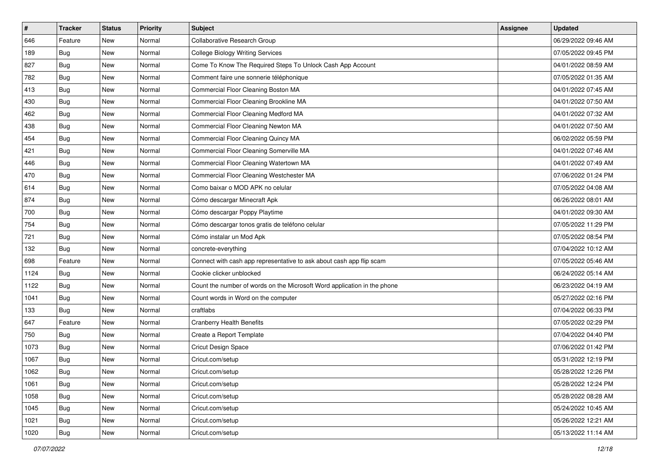| $\sharp$ | <b>Tracker</b> | <b>Status</b> | <b>Priority</b> | <b>Subject</b>                                                           | <b>Assignee</b> | <b>Updated</b>      |
|----------|----------------|---------------|-----------------|--------------------------------------------------------------------------|-----------------|---------------------|
| 646      | Feature        | New           | Normal          | Collaborative Research Group                                             |                 | 06/29/2022 09:46 AM |
| 189      | <b>Bug</b>     | New           | Normal          | <b>College Biology Writing Services</b>                                  |                 | 07/05/2022 09:45 PM |
| 827      | Bug            | New           | Normal          | Come To Know The Required Steps To Unlock Cash App Account               |                 | 04/01/2022 08:59 AM |
| 782      | <b>Bug</b>     | New           | Normal          | Comment faire une sonnerie téléphonique                                  |                 | 07/05/2022 01:35 AM |
| 413      | Bug            | New           | Normal          | Commercial Floor Cleaning Boston MA                                      |                 | 04/01/2022 07:45 AM |
| 430      | <b>Bug</b>     | New           | Normal          | Commercial Floor Cleaning Brookline MA                                   |                 | 04/01/2022 07:50 AM |
| 462      | Bug            | New           | Normal          | Commercial Floor Cleaning Medford MA                                     |                 | 04/01/2022 07:32 AM |
| 438      | <b>Bug</b>     | New           | Normal          | Commercial Floor Cleaning Newton MA                                      |                 | 04/01/2022 07:50 AM |
| 454      | <b>Bug</b>     | New           | Normal          | Commercial Floor Cleaning Quincy MA                                      |                 | 06/02/2022 05:59 PM |
| 421      | Bug            | New           | Normal          | Commercial Floor Cleaning Somerville MA                                  |                 | 04/01/2022 07:46 AM |
| 446      | <b>Bug</b>     | New           | Normal          | Commercial Floor Cleaning Watertown MA                                   |                 | 04/01/2022 07:49 AM |
| 470      | <b>Bug</b>     | New           | Normal          | Commercial Floor Cleaning Westchester MA                                 |                 | 07/06/2022 01:24 PM |
| 614      | <b>Bug</b>     | New           | Normal          | Como baixar o MOD APK no celular                                         |                 | 07/05/2022 04:08 AM |
| 874      | <b>Bug</b>     | New           | Normal          | Cómo descargar Minecraft Apk                                             |                 | 06/26/2022 08:01 AM |
| 700      | Bug            | New           | Normal          | Cómo descargar Poppy Playtime                                            |                 | 04/01/2022 09:30 AM |
| 754      | Bug            | New           | Normal          | Cómo descargar tonos gratis de teléfono celular                          |                 | 07/05/2022 11:29 PM |
| 721      | <b>Bug</b>     | New           | Normal          | Cómo instalar un Mod Apk                                                 |                 | 07/05/2022 08:54 PM |
| 132      | Bug            | New           | Normal          | concrete-everything                                                      |                 | 07/04/2022 10:12 AM |
| 698      | Feature        | New           | Normal          | Connect with cash app representative to ask about cash app flip scam     |                 | 07/05/2022 05:46 AM |
| 1124     | Bug            | New           | Normal          | Cookie clicker unblocked                                                 |                 | 06/24/2022 05:14 AM |
| 1122     | <b>Bug</b>     | New           | Normal          | Count the number of words on the Microsoft Word application in the phone |                 | 06/23/2022 04:19 AM |
| 1041     | <b>Bug</b>     | New           | Normal          | Count words in Word on the computer                                      |                 | 05/27/2022 02:16 PM |
| 133      | Bug            | New           | Normal          | craftlabs                                                                |                 | 07/04/2022 06:33 PM |
| 647      | Feature        | New           | Normal          | <b>Cranberry Health Benefits</b>                                         |                 | 07/05/2022 02:29 PM |
| 750      | Bug            | New           | Normal          | Create a Report Template                                                 |                 | 07/04/2022 04:40 PM |
| 1073     | Bug            | New           | Normal          | Cricut Design Space                                                      |                 | 07/06/2022 01:42 PM |
| 1067     | <b>Bug</b>     | New           | Normal          | Cricut.com/setup                                                         |                 | 05/31/2022 12:19 PM |
| 1062     | <b>Bug</b>     | New           | Normal          | Cricut.com/setup                                                         |                 | 05/28/2022 12:26 PM |
| 1061     | Bug            | New           | Normal          | Cricut.com/setup                                                         |                 | 05/28/2022 12:24 PM |
| 1058     | <b>Bug</b>     | New           | Normal          | Cricut.com/setup                                                         |                 | 05/28/2022 08:28 AM |
| 1045     | Bug            | New           | Normal          | Cricut.com/setup                                                         |                 | 05/24/2022 10:45 AM |
| 1021     | Bug            | New           | Normal          | Cricut.com/setup                                                         |                 | 05/26/2022 12:21 AM |
| 1020     | <b>Bug</b>     | New           | Normal          | Cricut.com/setup                                                         |                 | 05/13/2022 11:14 AM |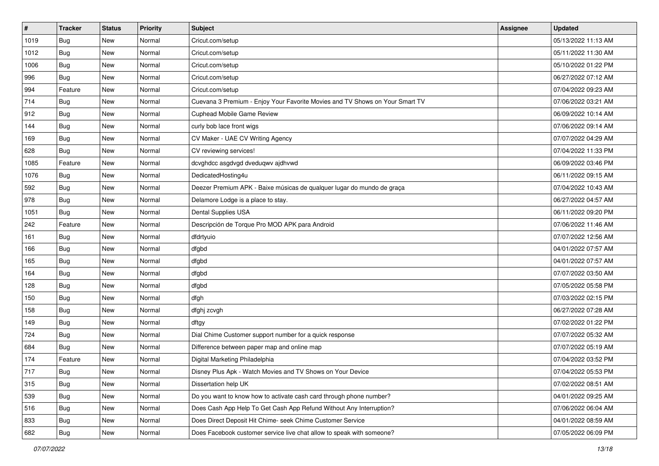| $\vert$ # | Tracker    | <b>Status</b> | <b>Priority</b> | <b>Subject</b>                                                               | <b>Assignee</b> | <b>Updated</b>      |
|-----------|------------|---------------|-----------------|------------------------------------------------------------------------------|-----------------|---------------------|
| 1019      | <b>Bug</b> | New           | Normal          | Cricut.com/setup                                                             |                 | 05/13/2022 11:13 AM |
| 1012      | Bug        | New           | Normal          | Cricut.com/setup                                                             |                 | 05/11/2022 11:30 AM |
| 1006      | Bug        | New           | Normal          | Cricut.com/setup                                                             |                 | 05/10/2022 01:22 PM |
| 996       | <b>Bug</b> | New           | Normal          | Cricut.com/setup                                                             |                 | 06/27/2022 07:12 AM |
| 994       | Feature    | New           | Normal          | Cricut.com/setup                                                             |                 | 07/04/2022 09:23 AM |
| 714       | <b>Bug</b> | New           | Normal          | Cuevana 3 Premium - Enjoy Your Favorite Movies and TV Shows on Your Smart TV |                 | 07/06/2022 03:21 AM |
| 912       | Bug        | New           | Normal          | Cuphead Mobile Game Review                                                   |                 | 06/09/2022 10:14 AM |
| 144       | <b>Bug</b> | New           | Normal          | curly bob lace front wigs                                                    |                 | 07/06/2022 09:14 AM |
| 169       | Bug        | New           | Normal          | CV Maker - UAE CV Writing Agency                                             |                 | 07/07/2022 04:29 AM |
| 628       | Bug        | New           | Normal          | CV reviewing services!                                                       |                 | 07/04/2022 11:33 PM |
| 1085      | Feature    | New           | Normal          | dcvghdcc asgdvgd dveduqwv ajdhvwd                                            |                 | 06/09/2022 03:46 PM |
| 1076      | Bug        | New           | Normal          | DedicatedHosting4u                                                           |                 | 06/11/2022 09:15 AM |
| 592       | Bug        | New           | Normal          | Deezer Premium APK - Baixe músicas de qualquer lugar do mundo de graça       |                 | 07/04/2022 10:43 AM |
| 978       | Bug        | New           | Normal          | Delamore Lodge is a place to stay.                                           |                 | 06/27/2022 04:57 AM |
| 1051      | <b>Bug</b> | New           | Normal          | Dental Supplies USA                                                          |                 | 06/11/2022 09:20 PM |
| 242       | Feature    | New           | Normal          | Descripción de Torque Pro MOD APK para Android                               |                 | 07/06/2022 11:46 AM |
| 161       | Bug        | New           | Normal          | dfdrtyuio                                                                    |                 | 07/07/2022 12:56 AM |
| 166       | Bug        | New           | Normal          | dfgbd                                                                        |                 | 04/01/2022 07:57 AM |
| 165       | Bug        | New           | Normal          | dfgbd                                                                        |                 | 04/01/2022 07:57 AM |
| 164       | Bug        | New           | Normal          | dfgbd                                                                        |                 | 07/07/2022 03:50 AM |
| 128       | <b>Bug</b> | New           | Normal          | dfgbd                                                                        |                 | 07/05/2022 05:58 PM |
| 150       | <b>Bug</b> | New           | Normal          | dfgh                                                                         |                 | 07/03/2022 02:15 PM |
| 158       | Bug        | New           | Normal          | dfghj zcvgh                                                                  |                 | 06/27/2022 07:28 AM |
| 149       | <b>Bug</b> | New           | Normal          | dftgy                                                                        |                 | 07/02/2022 01:22 PM |
| 724       | Bug        | New           | Normal          | Dial Chime Customer support number for a quick response                      |                 | 07/07/2022 05:32 AM |
| 684       | Bug        | New           | Normal          | Difference between paper map and online map                                  |                 | 07/07/2022 05:19 AM |
| 174       | Feature    | New           | Normal          | Digital Marketing Philadelphia                                               |                 | 07/04/2022 03:52 PM |
| 717       | <b>Bug</b> | New           | Normal          | Disney Plus Apk - Watch Movies and TV Shows on Your Device                   |                 | 07/04/2022 05:53 PM |
| 315       | Bug        | New           | Normal          | Dissertation help UK                                                         |                 | 07/02/2022 08:51 AM |
| 539       | Bug        | New           | Normal          | Do you want to know how to activate cash card through phone number?          |                 | 04/01/2022 09:25 AM |
| 516       | <b>Bug</b> | New           | Normal          | Does Cash App Help To Get Cash App Refund Without Any Interruption?          |                 | 07/06/2022 06:04 AM |
| 833       | Bug        | New           | Normal          | Does Direct Deposit Hit Chime- seek Chime Customer Service                   |                 | 04/01/2022 08:59 AM |
| 682       | Bug        | New           | Normal          | Does Facebook customer service live chat allow to speak with someone?        |                 | 07/05/2022 06:09 PM |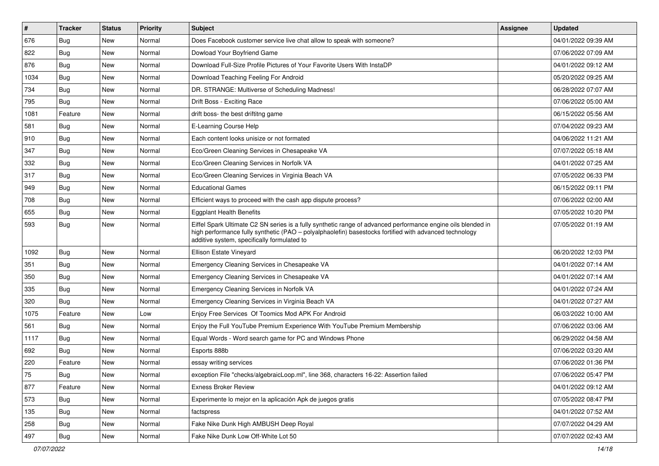| #    | <b>Tracker</b> | <b>Status</b> | <b>Priority</b> | Subject                                                                                                                                                                                                                                                               | <b>Assignee</b> | <b>Updated</b>      |
|------|----------------|---------------|-----------------|-----------------------------------------------------------------------------------------------------------------------------------------------------------------------------------------------------------------------------------------------------------------------|-----------------|---------------------|
| 676  | <b>Bug</b>     | New           | Normal          | Does Facebook customer service live chat allow to speak with someone?                                                                                                                                                                                                 |                 | 04/01/2022 09:39 AM |
| 822  | Bug            | New           | Normal          | Dowload Your Boyfriend Game                                                                                                                                                                                                                                           |                 | 07/06/2022 07:09 AM |
| 876  | <b>Bug</b>     | New           | Normal          | Download Full-Size Profile Pictures of Your Favorite Users With InstaDP                                                                                                                                                                                               |                 | 04/01/2022 09:12 AM |
| 1034 | <b>Bug</b>     | New           | Normal          | Download Teaching Feeling For Android                                                                                                                                                                                                                                 |                 | 05/20/2022 09:25 AM |
| 734  | Bug            | New           | Normal          | DR. STRANGE: Multiverse of Scheduling Madness!                                                                                                                                                                                                                        |                 | 06/28/2022 07:07 AM |
| 795  | <b>Bug</b>     | New           | Normal          | Drift Boss - Exciting Race                                                                                                                                                                                                                                            |                 | 07/06/2022 05:00 AM |
| 1081 | Feature        | New           | Normal          | drift boss- the best driftitng game                                                                                                                                                                                                                                   |                 | 06/15/2022 05:56 AM |
| 581  | <b>Bug</b>     | New           | Normal          | E-Learning Course Help                                                                                                                                                                                                                                                |                 | 07/04/2022 09:23 AM |
| 910  | Bug            | New           | Normal          | Each content looks unisize or not formated                                                                                                                                                                                                                            |                 | 04/06/2022 11:21 AM |
| 347  | Bug            | New           | Normal          | Eco/Green Cleaning Services in Chesapeake VA                                                                                                                                                                                                                          |                 | 07/07/2022 05:18 AM |
| 332  | Bug            | New           | Normal          | Eco/Green Cleaning Services in Norfolk VA                                                                                                                                                                                                                             |                 | 04/01/2022 07:25 AM |
| 317  | Bug            | New           | Normal          | Eco/Green Cleaning Services in Virginia Beach VA                                                                                                                                                                                                                      |                 | 07/05/2022 06:33 PM |
| 949  | Bug            | New           | Normal          | <b>Educational Games</b>                                                                                                                                                                                                                                              |                 | 06/15/2022 09:11 PM |
| 708  | Bug            | New           | Normal          | Efficient ways to proceed with the cash app dispute process?                                                                                                                                                                                                          |                 | 07/06/2022 02:00 AM |
| 655  | <b>Bug</b>     | New           | Normal          | <b>Eggplant Health Benefits</b>                                                                                                                                                                                                                                       |                 | 07/05/2022 10:20 PM |
| 593  | Bug            | New           | Normal          | Eiffel Spark Ultimate C2 SN series is a fully synthetic range of advanced performance engine oils blended in<br>high performance fully synthetic (PAO - polyalphaolefin) basestocks fortified with advanced technology<br>additive system, specifically formulated to |                 | 07/05/2022 01:19 AM |
| 1092 | Bug            | New           | Normal          | Ellison Estate Vineyard                                                                                                                                                                                                                                               |                 | 06/20/2022 12:03 PM |
| 351  | <b>Bug</b>     | New           | Normal          | Emergency Cleaning Services in Chesapeake VA                                                                                                                                                                                                                          |                 | 04/01/2022 07:14 AM |
| 350  | Bug            | New           | Normal          | Emergency Cleaning Services in Chesapeake VA                                                                                                                                                                                                                          |                 | 04/01/2022 07:14 AM |
| 335  | Bug            | New           | Normal          | Emergency Cleaning Services in Norfolk VA                                                                                                                                                                                                                             |                 | 04/01/2022 07:24 AM |
| 320  | Bug            | New           | Normal          | Emergency Cleaning Services in Virginia Beach VA                                                                                                                                                                                                                      |                 | 04/01/2022 07:27 AM |
| 1075 | Feature        | New           | Low             | Enjoy Free Services Of Toomics Mod APK For Android                                                                                                                                                                                                                    |                 | 06/03/2022 10:00 AM |
| 561  | <b>Bug</b>     | New           | Normal          | Enjoy the Full YouTube Premium Experience With YouTube Premium Membership                                                                                                                                                                                             |                 | 07/06/2022 03:06 AM |
| 1117 | Bug            | New           | Normal          | Equal Words - Word search game for PC and Windows Phone                                                                                                                                                                                                               |                 | 06/29/2022 04:58 AM |
| 692  | <b>Bug</b>     | New           | Normal          | Esports 888b                                                                                                                                                                                                                                                          |                 | 07/06/2022 03:20 AM |
| 220  | Feature        | New           | Normal          | essay writing services                                                                                                                                                                                                                                                |                 | 07/06/2022 01:36 PM |
| 75   | Bug            | New           | Normal          | exception File "checks/algebraicLoop.ml", line 368, characters 16-22: Assertion failed                                                                                                                                                                                |                 | 07/06/2022 05:47 PM |
| 877  | Feature        | New           | Normal          | <b>Exness Broker Review</b>                                                                                                                                                                                                                                           |                 | 04/01/2022 09:12 AM |
| 573  | <b>Bug</b>     | New           | Normal          | Experimente lo mejor en la aplicación Apk de juegos gratis                                                                                                                                                                                                            |                 | 07/05/2022 08:47 PM |
| 135  | <b>Bug</b>     | New           | Normal          | factspress                                                                                                                                                                                                                                                            |                 | 04/01/2022 07:52 AM |
| 258  | <b>Bug</b>     | New           | Normal          | Fake Nike Dunk High AMBUSH Deep Royal                                                                                                                                                                                                                                 |                 | 07/07/2022 04:29 AM |
| 497  | <b>Bug</b>     | New           | Normal          | Fake Nike Dunk Low Off-White Lot 50                                                                                                                                                                                                                                   |                 | 07/07/2022 02:43 AM |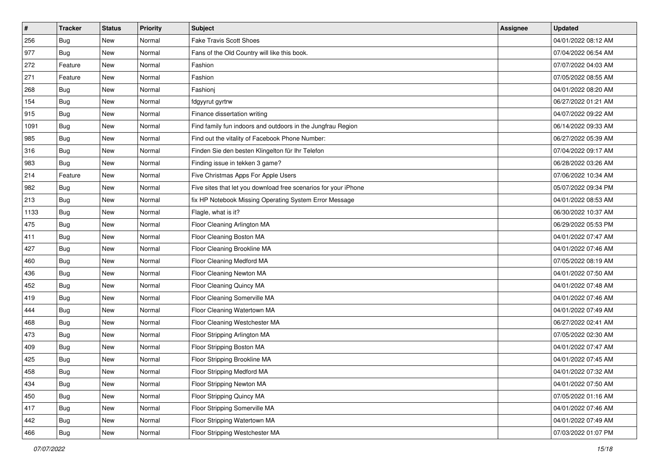| $\sharp$ | <b>Tracker</b> | <b>Status</b> | <b>Priority</b> | Subject                                                         | <b>Assignee</b> | <b>Updated</b>      |
|----------|----------------|---------------|-----------------|-----------------------------------------------------------------|-----------------|---------------------|
| 256      | <b>Bug</b>     | New           | Normal          | <b>Fake Travis Scott Shoes</b>                                  |                 | 04/01/2022 08:12 AM |
| 977      | Bug            | New           | Normal          | Fans of the Old Country will like this book.                    |                 | 07/04/2022 06:54 AM |
| 272      | Feature        | New           | Normal          | Fashion                                                         |                 | 07/07/2022 04:03 AM |
| 271      | Feature        | New           | Normal          | Fashion                                                         |                 | 07/05/2022 08:55 AM |
| 268      | Bug            | New           | Normal          | Fashionj                                                        |                 | 04/01/2022 08:20 AM |
| 154      | <b>Bug</b>     | New           | Normal          | fdgyyrut gyrtrw                                                 |                 | 06/27/2022 01:21 AM |
| 915      | <b>Bug</b>     | New           | Normal          | Finance dissertation writing                                    |                 | 04/07/2022 09:22 AM |
| 1091     | Bug            | New           | Normal          | Find family fun indoors and outdoors in the Jungfrau Region     |                 | 06/14/2022 09:33 AM |
| 985      | <b>Bug</b>     | New           | Normal          | Find out the vitality of Facebook Phone Number:                 |                 | 06/27/2022 05:39 AM |
| 316      | <b>Bug</b>     | New           | Normal          | Finden Sie den besten Klingelton für Ihr Telefon                |                 | 07/04/2022 09:17 AM |
| 983      | Bug            | New           | Normal          | Finding issue in tekken 3 game?                                 |                 | 06/28/2022 03:26 AM |
| 214      | Feature        | New           | Normal          | Five Christmas Apps For Apple Users                             |                 | 07/06/2022 10:34 AM |
| 982      | Bug            | New           | Normal          | Five sites that let you download free scenarios for your iPhone |                 | 05/07/2022 09:34 PM |
| 213      | <b>Bug</b>     | New           | Normal          | fix HP Notebook Missing Operating System Error Message          |                 | 04/01/2022 08:53 AM |
| 1133     | <b>Bug</b>     | New           | Normal          | Flagle, what is it?                                             |                 | 06/30/2022 10:37 AM |
| 475      | <b>Bug</b>     | New           | Normal          | Floor Cleaning Arlington MA                                     |                 | 06/29/2022 05:53 PM |
| 411      | <b>Bug</b>     | New           | Normal          | Floor Cleaning Boston MA                                        |                 | 04/01/2022 07:47 AM |
| 427      | Bug            | New           | Normal          | Floor Cleaning Brookline MA                                     |                 | 04/01/2022 07:46 AM |
| 460      | <b>Bug</b>     | New           | Normal          | Floor Cleaning Medford MA                                       |                 | 07/05/2022 08:19 AM |
| 436      | Bug            | New           | Normal          | Floor Cleaning Newton MA                                        |                 | 04/01/2022 07:50 AM |
| 452      | <b>Bug</b>     | New           | Normal          | Floor Cleaning Quincy MA                                        |                 | 04/01/2022 07:48 AM |
| 419      | <b>Bug</b>     | New           | Normal          | Floor Cleaning Somerville MA                                    |                 | 04/01/2022 07:46 AM |
| 444      | Bug            | New           | Normal          | Floor Cleaning Watertown MA                                     |                 | 04/01/2022 07:49 AM |
| 468      | <b>Bug</b>     | New           | Normal          | Floor Cleaning Westchester MA                                   |                 | 06/27/2022 02:41 AM |
| 473      | Bug            | New           | Normal          | Floor Stripping Arlington MA                                    |                 | 07/05/2022 02:30 AM |
| 409      | Bug            | New           | Normal          | Floor Stripping Boston MA                                       |                 | 04/01/2022 07:47 AM |
| 425      | <b>Bug</b>     | New           | Normal          | Floor Stripping Brookline MA                                    |                 | 04/01/2022 07:45 AM |
| 458      | Bug            | New           | Normal          | Floor Stripping Medford MA                                      |                 | 04/01/2022 07:32 AM |
| 434      | Bug            | New           | Normal          | Floor Stripping Newton MA                                       |                 | 04/01/2022 07:50 AM |
| 450      | <b>Bug</b>     | New           | Normal          | Floor Stripping Quincy MA                                       |                 | 07/05/2022 01:16 AM |
| 417      | Bug            | New           | Normal          | Floor Stripping Somerville MA                                   |                 | 04/01/2022 07:46 AM |
| 442      | <b>Bug</b>     | New           | Normal          | Floor Stripping Watertown MA                                    |                 | 04/01/2022 07:49 AM |
| 466      | <b>Bug</b>     | New           | Normal          | Floor Stripping Westchester MA                                  |                 | 07/03/2022 01:07 PM |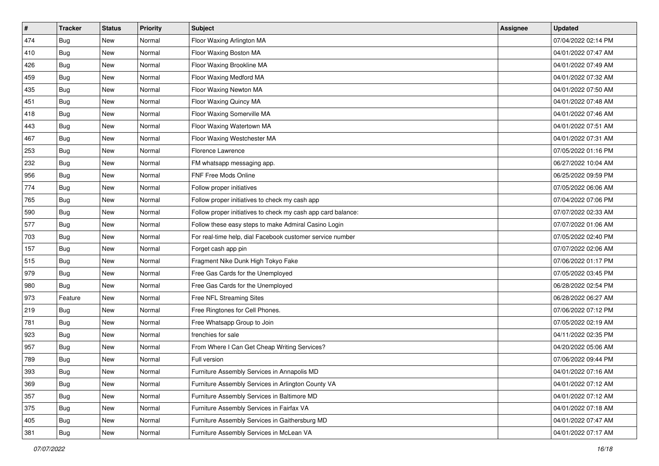| #   | <b>Tracker</b> | <b>Status</b> | <b>Priority</b> | <b>Subject</b>                                               | <b>Assignee</b> | <b>Updated</b>      |
|-----|----------------|---------------|-----------------|--------------------------------------------------------------|-----------------|---------------------|
| 474 | <b>Bug</b>     | New           | Normal          | Floor Waxing Arlington MA                                    |                 | 07/04/2022 02:14 PM |
| 410 | Bug            | New           | Normal          | Floor Waxing Boston MA                                       |                 | 04/01/2022 07:47 AM |
| 426 | Bug            | New           | Normal          | Floor Waxing Brookline MA                                    |                 | 04/01/2022 07:49 AM |
| 459 | <b>Bug</b>     | New           | Normal          | Floor Waxing Medford MA                                      |                 | 04/01/2022 07:32 AM |
| 435 | Bug            | New           | Normal          | Floor Waxing Newton MA                                       |                 | 04/01/2022 07:50 AM |
| 451 | <b>Bug</b>     | New           | Normal          | Floor Waxing Quincy MA                                       |                 | 04/01/2022 07:48 AM |
| 418 | Bug            | New           | Normal          | Floor Waxing Somerville MA                                   |                 | 04/01/2022 07:46 AM |
| 443 | Bug            | New           | Normal          | Floor Waxing Watertown MA                                    |                 | 04/01/2022 07:51 AM |
| 467 | <b>Bug</b>     | <b>New</b>    | Normal          | Floor Waxing Westchester MA                                  |                 | 04/01/2022 07:31 AM |
| 253 | <b>Bug</b>     | New           | Normal          | Florence Lawrence                                            |                 | 07/05/2022 01:16 PM |
| 232 | <b>Bug</b>     | New           | Normal          | FM whatsapp messaging app.                                   |                 | 06/27/2022 10:04 AM |
| 956 | <b>Bug</b>     | New           | Normal          | FNF Free Mods Online                                         |                 | 06/25/2022 09:59 PM |
| 774 | Bug            | New           | Normal          | Follow proper initiatives                                    |                 | 07/05/2022 06:06 AM |
| 765 | Bug            | New           | Normal          | Follow proper initiatives to check my cash app               |                 | 07/04/2022 07:06 PM |
| 590 | <b>Bug</b>     | New           | Normal          | Follow proper initiatives to check my cash app card balance: |                 | 07/07/2022 02:33 AM |
| 577 | <b>Bug</b>     | New           | Normal          | Follow these easy steps to make Admiral Casino Login         |                 | 07/07/2022 01:06 AM |
| 703 | <b>Bug</b>     | New           | Normal          | For real-time help, dial Facebook customer service number    |                 | 07/05/2022 02:40 PM |
| 157 | Bug            | <b>New</b>    | Normal          | Forget cash app pin                                          |                 | 07/07/2022 02:06 AM |
| 515 | <b>Bug</b>     | New           | Normal          | Fragment Nike Dunk High Tokyo Fake                           |                 | 07/06/2022 01:17 PM |
| 979 | <b>Bug</b>     | New           | Normal          | Free Gas Cards for the Unemployed                            |                 | 07/05/2022 03:45 PM |
| 980 | Bug            | New           | Normal          | Free Gas Cards for the Unemployed                            |                 | 06/28/2022 02:54 PM |
| 973 | Feature        | <b>New</b>    | Normal          | Free NFL Streaming Sites                                     |                 | 06/28/2022 06:27 AM |
| 219 | Bug            | New           | Normal          | Free Ringtones for Cell Phones.                              |                 | 07/06/2022 07:12 PM |
| 781 | <b>Bug</b>     | New           | Normal          | Free Whatsapp Group to Join                                  |                 | 07/05/2022 02:19 AM |
| 923 | <b>Bug</b>     | New           | Normal          | frenchies for sale                                           |                 | 04/11/2022 02:35 PM |
| 957 | Bug            | New           | Normal          | From Where I Can Get Cheap Writing Services?                 |                 | 04/20/2022 05:06 AM |
| 789 | <b>Bug</b>     | New           | Normal          | Full version                                                 |                 | 07/06/2022 09:44 PM |
| 393 | Bug            | New           | Normal          | Furniture Assembly Services in Annapolis MD                  |                 | 04/01/2022 07:16 AM |
| 369 | Bug            | New           | Normal          | Furniture Assembly Services in Arlington County VA           |                 | 04/01/2022 07:12 AM |
| 357 | <b>Bug</b>     | New           | Normal          | Furniture Assembly Services in Baltimore MD                  |                 | 04/01/2022 07:12 AM |
| 375 | Bug            | New           | Normal          | Furniture Assembly Services in Fairfax VA                    |                 | 04/01/2022 07:18 AM |
| 405 | <b>Bug</b>     | New           | Normal          | Furniture Assembly Services in Gaithersburg MD               |                 | 04/01/2022 07:47 AM |
| 381 | Bug            | New           | Normal          | Furniture Assembly Services in McLean VA                     |                 | 04/01/2022 07:17 AM |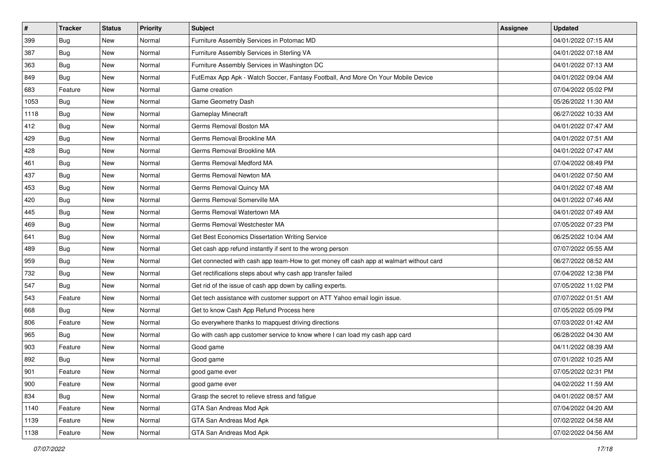| #    | <b>Tracker</b> | <b>Status</b> | <b>Priority</b> | <b>Subject</b>                                                                         | <b>Assignee</b> | <b>Updated</b>      |
|------|----------------|---------------|-----------------|----------------------------------------------------------------------------------------|-----------------|---------------------|
| 399  | <b>Bug</b>     | New           | Normal          | Furniture Assembly Services in Potomac MD                                              |                 | 04/01/2022 07:15 AM |
| 387  | Bug            | New           | Normal          | Furniture Assembly Services in Sterling VA                                             |                 | 04/01/2022 07:18 AM |
| 363  | Bug            | New           | Normal          | Furniture Assembly Services in Washington DC                                           |                 | 04/01/2022 07:13 AM |
| 849  | <b>Bug</b>     | New           | Normal          | FutEmax App Apk - Watch Soccer, Fantasy Football, And More On Your Mobile Device       |                 | 04/01/2022 09:04 AM |
| 683  | Feature        | New           | Normal          | Game creation                                                                          |                 | 07/04/2022 05:02 PM |
| 1053 | <b>Bug</b>     | New           | Normal          | Game Geometry Dash                                                                     |                 | 05/26/2022 11:30 AM |
| 1118 | Bug            | New           | Normal          | Gameplay Minecraft                                                                     |                 | 06/27/2022 10:33 AM |
| 412  | Bug            | New           | Normal          | Germs Removal Boston MA                                                                |                 | 04/01/2022 07:47 AM |
| 429  | <b>Bug</b>     | New           | Normal          | Germs Removal Brookline MA                                                             |                 | 04/01/2022 07:51 AM |
| 428  | Bug            | New           | Normal          | Germs Removal Brookline MA                                                             |                 | 04/01/2022 07:47 AM |
| 461  | <b>Bug</b>     | New           | Normal          | Germs Removal Medford MA                                                               |                 | 07/04/2022 08:49 PM |
| 437  | Bug            | New           | Normal          | Germs Removal Newton MA                                                                |                 | 04/01/2022 07:50 AM |
| 453  | Bug            | <b>New</b>    | Normal          | Germs Removal Quincy MA                                                                |                 | 04/01/2022 07:48 AM |
| 420  | Bug            | New           | Normal          | Germs Removal Somerville MA                                                            |                 | 04/01/2022 07:46 AM |
| 445  | <b>Bug</b>     | New           | Normal          | Germs Removal Watertown MA                                                             |                 | 04/01/2022 07:49 AM |
| 469  | <b>Bug</b>     | New           | Normal          | Germs Removal Westchester MA                                                           |                 | 07/05/2022 07:23 PM |
| 641  | <b>Bug</b>     | New           | Normal          | Get Best Economics Dissertation Writing Service                                        |                 | 06/25/2022 10:04 AM |
| 489  | <b>Bug</b>     | <b>New</b>    | Normal          | Get cash app refund instantly if sent to the wrong person                              |                 | 07/07/2022 05:55 AM |
| 959  | <b>Bug</b>     | New           | Normal          | Get connected with cash app team-How to get money off cash app at walmart without card |                 | 06/27/2022 08:52 AM |
| 732  | <b>Bug</b>     | New           | Normal          | Get rectifications steps about why cash app transfer failed                            |                 | 07/04/2022 12:38 PM |
| 547  | Bug            | New           | Normal          | Get rid of the issue of cash app down by calling experts.                              |                 | 07/05/2022 11:02 PM |
| 543  | Feature        | New           | Normal          | Get tech assistance with customer support on ATT Yahoo email login issue.              |                 | 07/07/2022 01:51 AM |
| 668  | Bug            | New           | Normal          | Get to know Cash App Refund Process here                                               |                 | 07/05/2022 05:09 PM |
| 806  | Feature        | New           | Normal          | Go everywhere thanks to mapquest driving directions                                    |                 | 07/03/2022 01:42 AM |
| 965  | <b>Bug</b>     | New           | Normal          | Go with cash app customer service to know where I can load my cash app card            |                 | 06/28/2022 04:30 AM |
| 903  | Feature        | New           | Normal          | Good game                                                                              |                 | 04/11/2022 08:39 AM |
| 892  | Bug            | New           | Normal          | Good game                                                                              |                 | 07/01/2022 10:25 AM |
| 901  | Feature        | New           | Normal          | good game ever                                                                         |                 | 07/05/2022 02:31 PM |
| 900  | Feature        | New           | Normal          | good game ever                                                                         |                 | 04/02/2022 11:59 AM |
| 834  | Bug            | New           | Normal          | Grasp the secret to relieve stress and fatigue                                         |                 | 04/01/2022 08:57 AM |
| 1140 | Feature        | New           | Normal          | GTA San Andreas Mod Apk                                                                |                 | 07/04/2022 04:20 AM |
| 1139 | Feature        | New           | Normal          | GTA San Andreas Mod Apk                                                                |                 | 07/02/2022 04:58 AM |
| 1138 | Feature        | New           | Normal          | GTA San Andreas Mod Apk                                                                |                 | 07/02/2022 04:56 AM |